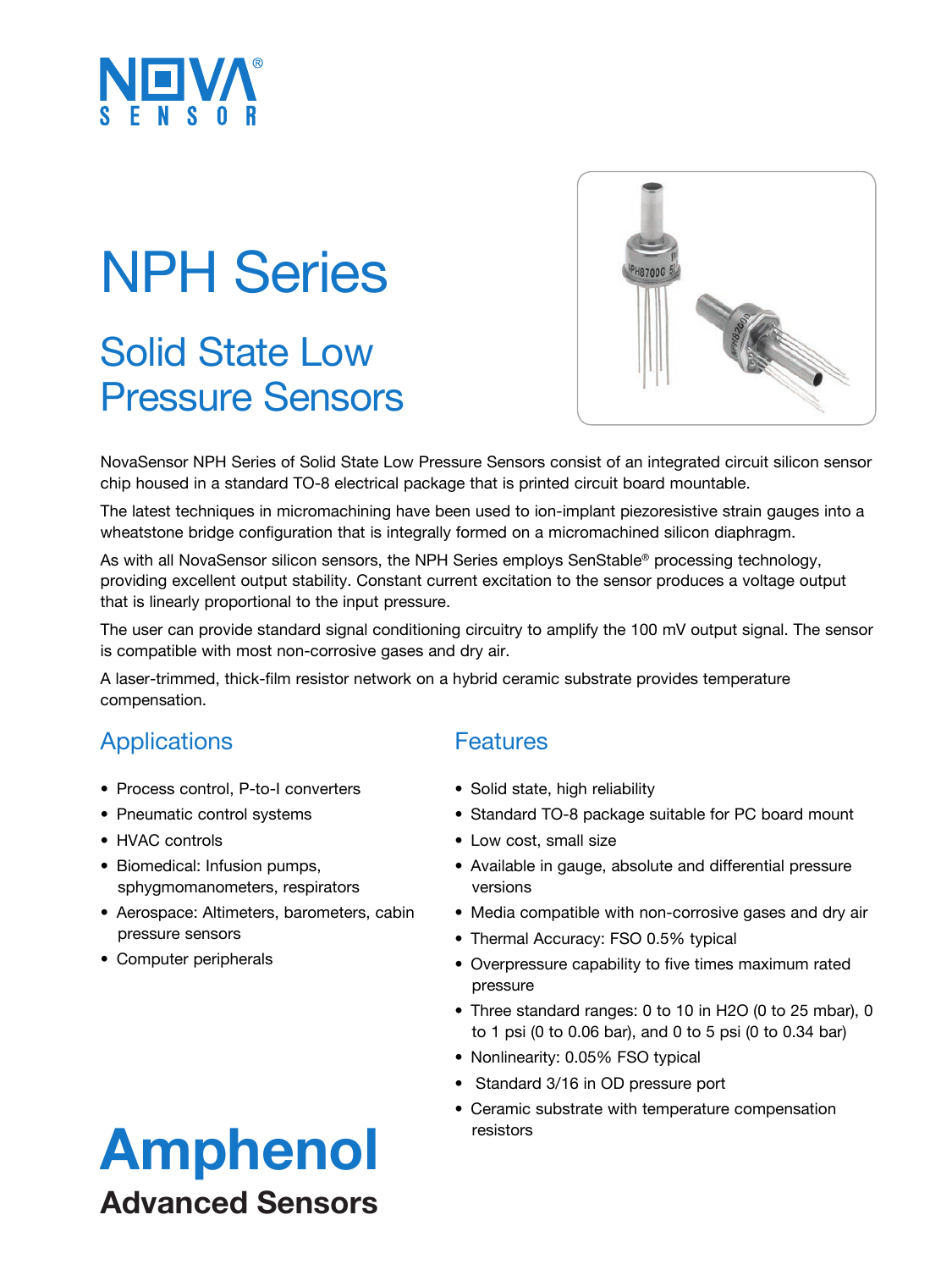

# NPH Series

### Solid State Low Pressure Sensors



NovaSensor NPH Series of Solid State Low Pressure Sensors consist of an integrated circuit silicon sensor chip housed in a standard TO-8 electrical package that is printed circuit board mountable.

The latest techniques in micromachining have been used to ion-implant piezoresistive strain gauges into a wheatstone bridge configuration that is integrally formed on a micromachined silicon diaphragm.

As with all NovaSensor silicon sensors, the NPH Series employs SenStable® processing technology, providing excellent output stability. Constant current excitation to the sensor produces a voltage output that is linearly proportional to the input pressure.

The user can provide standard signal conditioning circuitry to amplify the 100 mV output signal. The sensor is compatible with most non-corrosive gases and dry air.

A laser-trimmed, thick-film resistor network on a hybrid ceramic substrate provides temperature compensation.

#### **Applications**

- Process control, P-to-I converters
- Pneumatic control systems
- HVAC controls
- Biomedical: Infusion pumps, sphygmomanometers, respirators
- Aerospace: Altimeters, barometers, cabin pressure sensors
- Computer peripherals

### **Features**

- Solid state, high reliability
- Standard TO-8 package suitable for PC board mount
- Low cost, small size
- Available in gauge, absolute and differential pressure versions
- Media compatible with non-corrosive gases and dry air
- Thermal Accuracy: FSO 0.5% typical
- Overpressure capability to five times maximum rated pressure
- Three standard ranges: 0 to 10 in H2O (0 to 25 mbar), 0 to 1 psi (0 to 0.06 bar), and 0 to 5 psi (0 to 0.34 bar)
- Nonlinearity: 0.05% FSO typical
- Standard 3/16 in OD pressure port
- Ceramic substrate with temperature compensation resistors

### Amphenol Advanced Sensors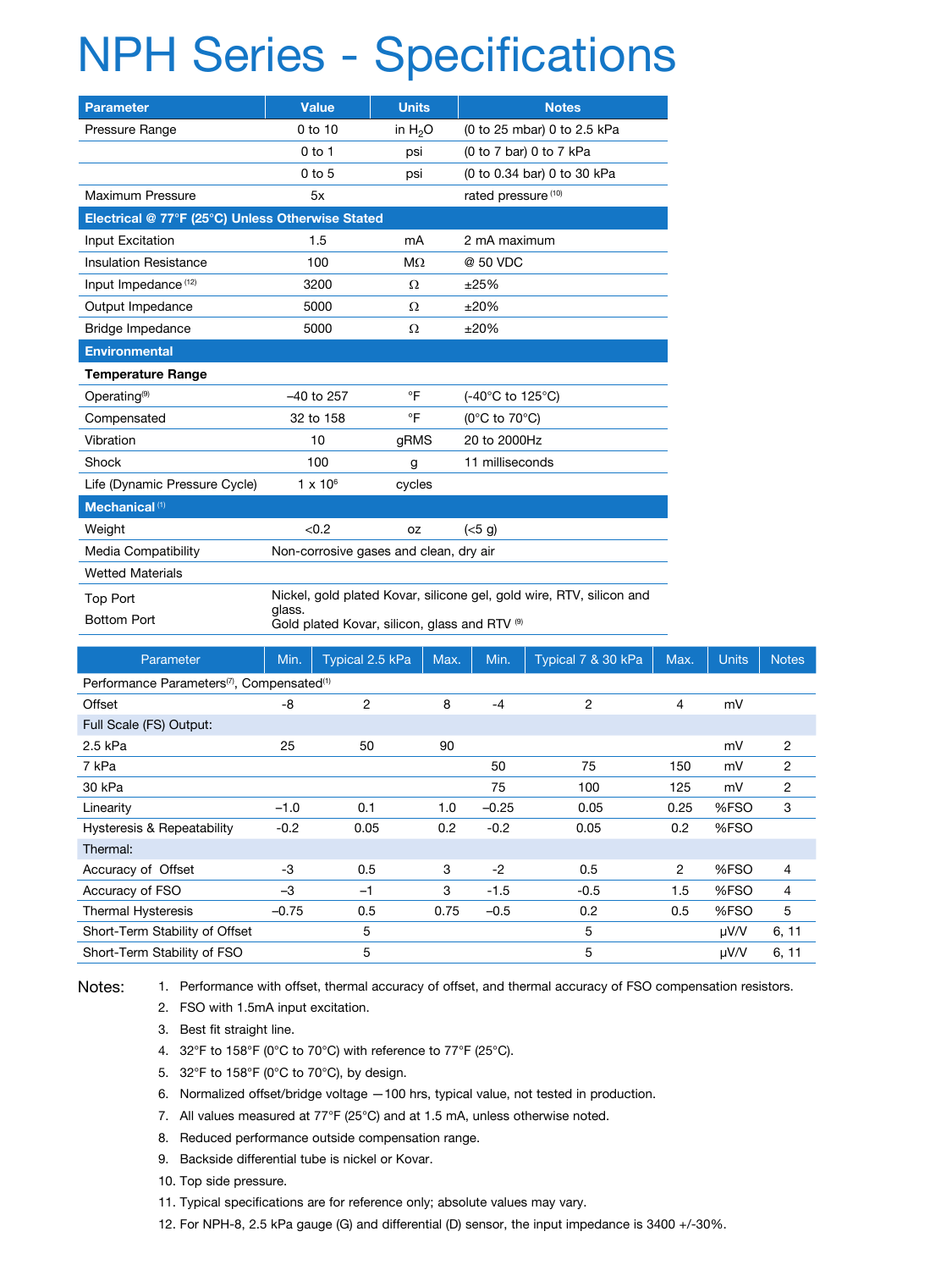## NPH Series - Specifications

| <b>Parameter</b>                                 | <b>Value</b>                                                                                                                    | <b>Units</b> | <b>Notes</b>                        |  |  |  |  |  |  |  |
|--------------------------------------------------|---------------------------------------------------------------------------------------------------------------------------------|--------------|-------------------------------------|--|--|--|--|--|--|--|
| Pressure Range                                   | $0$ to $10$                                                                                                                     | in $H_2O$    | (0 to 25 mbar) 0 to 2.5 kPa         |  |  |  |  |  |  |  |
|                                                  | $0$ to 1                                                                                                                        | psi          | (0 to 7 bar) 0 to 7 kPa             |  |  |  |  |  |  |  |
|                                                  | $0$ to $5$                                                                                                                      | psi          | (0 to 0.34 bar) 0 to 30 kPa         |  |  |  |  |  |  |  |
| Maximum Pressure                                 | 5x                                                                                                                              |              | rated pressure (10)                 |  |  |  |  |  |  |  |
| Electrical @ 77°F (25°C) Unless Otherwise Stated |                                                                                                                                 |              |                                     |  |  |  |  |  |  |  |
| Input Excitation                                 | 1.5                                                                                                                             | mA           | 2 mA maximum                        |  |  |  |  |  |  |  |
| <b>Insulation Resistance</b>                     | 100                                                                                                                             | $M\Omega$    | @ 50 VDC                            |  |  |  |  |  |  |  |
| Input Impedance <sup>(12)</sup>                  | 3200                                                                                                                            | Ω            | ±25%                                |  |  |  |  |  |  |  |
| Output Impedance                                 | 5000                                                                                                                            | Ω            | ±20%                                |  |  |  |  |  |  |  |
| Bridge Impedance                                 | 5000                                                                                                                            | Ω            | ±20%                                |  |  |  |  |  |  |  |
| <b>Environmental</b>                             |                                                                                                                                 |              |                                     |  |  |  |  |  |  |  |
| <b>Temperature Range</b>                         |                                                                                                                                 |              |                                     |  |  |  |  |  |  |  |
| Operating <sup>(9)</sup>                         | $-40$ to $257$                                                                                                                  | °F           | (-40°C to 125°C)                    |  |  |  |  |  |  |  |
| Compensated                                      | 32 to 158                                                                                                                       | °F           | (0 $^{\circ}$ C to 70 $^{\circ}$ C) |  |  |  |  |  |  |  |
| Vibration                                        | 10                                                                                                                              | gRMS         | 20 to 2000Hz                        |  |  |  |  |  |  |  |
| Shock                                            | 100                                                                                                                             | g            | 11 milliseconds                     |  |  |  |  |  |  |  |
| Life (Dynamic Pressure Cycle)                    | $1 \times 10^6$                                                                                                                 | cycles       |                                     |  |  |  |  |  |  |  |
| Mechanical <sup>(1)</sup>                        |                                                                                                                                 |              |                                     |  |  |  |  |  |  |  |
| Weight                                           | < 0.2                                                                                                                           | <b>OZ</b>    | (<5 g)                              |  |  |  |  |  |  |  |
| Media Compatibility                              | Non-corrosive gases and clean, dry air                                                                                          |              |                                     |  |  |  |  |  |  |  |
| <b>Wetted Materials</b>                          |                                                                                                                                 |              |                                     |  |  |  |  |  |  |  |
| <b>Top Port</b><br><b>Bottom Port</b>            | Nickel, gold plated Kovar, silicone gel, gold wire, RTV, silicon and<br>glass.<br>Gold plated Kovar, silicon, glass and RTV (9) |              |                                     |  |  |  |  |  |  |  |

| Parameter                                                          | Min.    | Typical 2.5 kPa | Max. | Min.    | Typical 7 & 30 kPa | Max.           | <b>Units</b> | <b>Notes</b>   |  |  |
|--------------------------------------------------------------------|---------|-----------------|------|---------|--------------------|----------------|--------------|----------------|--|--|
| Performance Parameters <sup>(7)</sup> , Compensated <sup>(1)</sup> |         |                 |      |         |                    |                |              |                |  |  |
| Offset                                                             | -8      | 2               | 8    | $-4$    | 2                  | 4              | mV           |                |  |  |
| Full Scale (FS) Output:                                            |         |                 |      |         |                    |                |              |                |  |  |
| 2.5 kPa                                                            | 25      | 50              | 90   |         |                    |                | mV           | $\overline{2}$ |  |  |
| 7 kPa                                                              |         |                 |      | 50      | 75                 | 150            | mV           | $\overline{2}$ |  |  |
| 30 kPa                                                             |         |                 |      | 75      | 100                | 125            | mV           | 2              |  |  |
| Linearity                                                          | $-1.0$  | 0.1             | 1.0  | $-0.25$ | 0.05               | 0.25           | %FSO         | 3              |  |  |
| Hysteresis & Repeatability                                         | $-0.2$  | 0.05            | 0.2  | $-0.2$  | 0.05               | 0.2            | %FSO         |                |  |  |
| Thermal:                                                           |         |                 |      |         |                    |                |              |                |  |  |
| Accuracy of Offset                                                 | -3      | 0.5             | 3    | $-2$    | 0.5                | $\overline{2}$ | %FSO         | 4              |  |  |
| Accuracy of FSO                                                    | -3      | $-1$            | 3    | $-1.5$  | $-0.5$             | 1.5            | %FSO         | 4              |  |  |
| <b>Thermal Hysteresis</b>                                          | $-0.75$ | 0.5             | 0.75 | $-0.5$  | 0.2                | 0.5            | %FSO         | 5              |  |  |
| Short-Term Stability of Offset                                     |         | 5               |      |         | 5                  |                | $\mu$ V/V    | 6, 11          |  |  |
| Short-Term Stability of FSO                                        |         | 5               |      |         | 5                  |                | µV/V         | 6, 11          |  |  |

#### Notes:

1. Performance with offset, thermal accuracy of offset, and thermal accuracy of FSO compensation resistors.

- 2. FSO with 1.5mA input excitation.
- 3. Best fit straight line.
- 4. 32°F to 158°F (0°C to 70°C) with reference to 77°F (25°C).
- 5. 32°F to 158°F (0°C to 70°C), by design.
- 6. Normalized offset/bridge voltage —100 hrs, typical value, not tested in production.
- 7. All values measured at 77°F (25°C) and at 1.5 mA, unless otherwise noted.
- 8. Reduced performance outside compensation range.
- 9. Backside differential tube is nickel or Kovar.
- 10. Top side pressure.
- 11. Typical specifications are for reference only; absolute values may vary.
- 12. For NPH-8, 2.5 kPa gauge (G) and differential (D) sensor, the input impedance is 3400 +/-30%.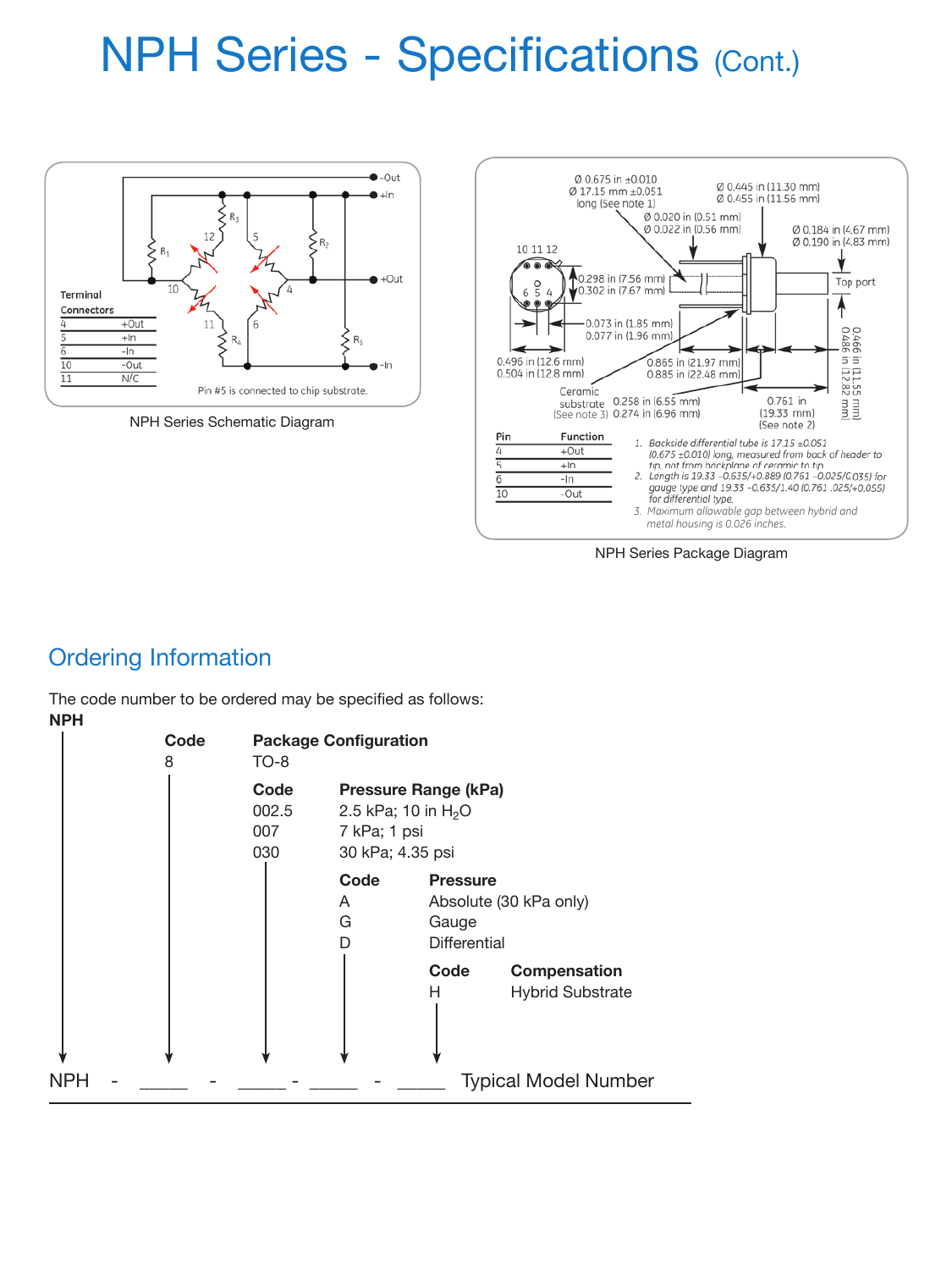## **NPH Series - Specifications (Cont.)**



NPH Series Schematic Diagram



NPH Series Package Diagram

### Ordering Information

The code number to be ordered may be specified as follows: **NPH**